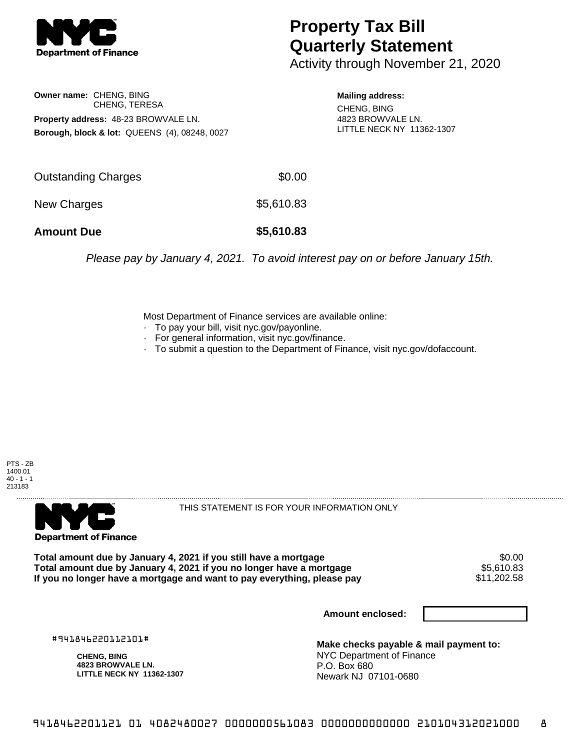

## **Property Tax Bill Quarterly Statement**

Activity through November 21, 2020

**Owner name:** CHENG, BING CHENG, TERESA **Property address:** 48-23 BROWVALE LN. **Borough, block & lot:** QUEENS (4), 08248, 0027

**Mailing address:** CHENG, BING 4823 BROWVALE LN. LITTLE NECK NY 11362-1307

| <b>Amount Due</b>   | \$5,610.83 |
|---------------------|------------|
| New Charges         | \$5,610.83 |
| Outstanding Charges | \$0.00     |

Please pay by January 4, 2021. To avoid interest pay on or before January 15th.

Most Department of Finance services are available online:

- · To pay your bill, visit nyc.gov/payonline.
- For general information, visit nyc.gov/finance.
- · To submit a question to the Department of Finance, visit nyc.gov/dofaccount.





THIS STATEMENT IS FOR YOUR INFORMATION ONLY

Total amount due by January 4, 2021 if you still have a mortgage \$0.00<br>Total amount due by January 4, 2021 if you no longer have a mortgage \$5.610.83 **Total amount due by January 4, 2021 if you no longer have a mortgage** \$5,610.83 If you no longer have a mortgage and want to pay everything, please pay

**Amount enclosed:**

#941846220112101#

**CHENG, BING 4823 BROWVALE LN. LITTLE NECK NY 11362-1307**

**Make checks payable & mail payment to:** NYC Department of Finance P.O. Box 680 Newark NJ 07101-0680